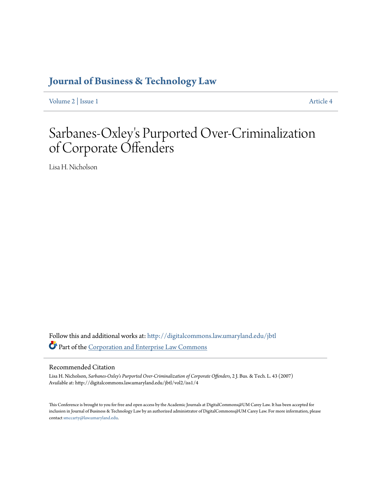# **[Journal of Business & Technology Law](http://digitalcommons.law.umaryland.edu/jbtl?utm_source=digitalcommons.law.umaryland.edu%2Fjbtl%2Fvol2%2Fiss1%2F4&utm_medium=PDF&utm_campaign=PDFCoverPages)**

[Volume 2](http://digitalcommons.law.umaryland.edu/jbtl/vol2?utm_source=digitalcommons.law.umaryland.edu%2Fjbtl%2Fvol2%2Fiss1%2F4&utm_medium=PDF&utm_campaign=PDFCoverPages) | [Issue 1](http://digitalcommons.law.umaryland.edu/jbtl/vol2/iss1?utm_source=digitalcommons.law.umaryland.edu%2Fjbtl%2Fvol2%2Fiss1%2F4&utm_medium=PDF&utm_campaign=PDFCoverPages) [Article 4](http://digitalcommons.law.umaryland.edu/jbtl/vol2/iss1/4?utm_source=digitalcommons.law.umaryland.edu%2Fjbtl%2Fvol2%2Fiss1%2F4&utm_medium=PDF&utm_campaign=PDFCoverPages)

# Sarbanes-Oxley 's Purported Over-Criminalization of Corporate Offenders

Lisa H. Nicholson

Follow this and additional works at: [http://digitalcommons.law.umaryland.edu/jbtl](http://digitalcommons.law.umaryland.edu/jbtl?utm_source=digitalcommons.law.umaryland.edu%2Fjbtl%2Fvol2%2Fiss1%2F4&utm_medium=PDF&utm_campaign=PDFCoverPages) Part of the [Corporation and Enterprise Law Commons](http://network.bepress.com/hgg/discipline/900?utm_source=digitalcommons.law.umaryland.edu%2Fjbtl%2Fvol2%2Fiss1%2F4&utm_medium=PDF&utm_campaign=PDFCoverPages)

# Recommended Citation

Lisa H. Nicholson, *Sarbanes-Oxley's Purported Over-Criminalization of Corporate Offenders*, 2 J. Bus. & Tech. L. 43 (2007) Available at: http://digitalcommons.law.umaryland.edu/jbtl/vol2/iss1/4

This Conference is brought to you for free and open access by the Academic Journals at DigitalCommons@UM Carey Law. It has been accepted for inclusion in Journal of Business & Technology Law by an authorized administrator of DigitalCommons@UM Carey Law. For more information, please contact [smccarty@law.umaryland.edu.](mailto:smccarty@law.umaryland.edu)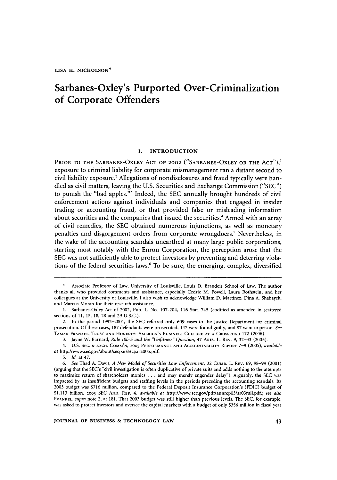# Sarbanes-Oxley's Purported Over-Criminalization of Corporate Offenders

#### **I. INTRODUCTION**

PRIOR TO THE **SARBANES-OXLEY ACT** OF 2002 ("SARBANES-OXLEY **OR** THE **ACT"),'** exposure to criminal liability for corporate mismanagement ran a distant second to civil liability exposure.2 Allegations of nondisclosures and fraud typically were handled as civil matters, leaving the U.S. Securities and Exchange Commission ("SEC") to punish the "bad apples."<sup>3</sup> Indeed, the SEC annually brought hundreds of civil enforcement actions against individuals and companies that engaged in insider trading or accounting fraud, or that provided false or misleading information about securities and the companies that issued the securities.' Armed with an array of civil remedies, the SEC obtained numerous injunctions, as well as monetary penalties and disgorgement orders from corporate wrongdoers.' Nevertheless, in the wake of the accounting scandals unearthed at many large public corporations, starting most notably with the Enron Corporation, the perception arose that the SEC was not sufficiently able to protect investors by preventing and deterring violations of the federal securities laws.6 To be sure, the emerging, complex, diversified

3. Jayne W. Barnard, *Rule* **l0b-5** and the "Unfitness" Question, 47 ARtz. L. REV. 9, 32-33 (2005).

**4. U.S.** SEC. & EXCH. COMM'N, 2005 PERFORMANCE **AND** ACCOUNTABILITY REPORT 7-9 (2005), *available* at http://www.sec.gov/about/secpar/secpar2005.pdf.

Associate Professor of Law, University of Louisville, Louis **D.** Brandeis School of Law. The author thanks all who provided comments and assistance, especially Cedric M. Powell, Laura Rothstein, and her colleagues at the University of Louisville. I also wish to acknowledge William D. Martinez, Dina A. Shabayek, and Marcus Moran for their research assistance.

**<sup>1.</sup>** Sarbanes-Oxley Act of 2002, Pub. L. No. 107-204, 116 Stat. 745 (codified as amended in scattered sections of **11,** 15, 18, 28 and 29 U.S.C.).

<sup>2.</sup> In the period 1992-2001, the SEC referred only 609 cases to the Justice Department for criminal prosecution. Of these cases, 187 defendants were prosecuted, 142 were found guilty, and 87 went to prison. *See* TAMAR FRANKEL, **TRUST AND** HONESTY: AMERICA'S BUSINESS CULTURE AT A CROSSROAD **172** (2006).

**<sup>5.</sup>** Id. at 47.

<sup>6.</sup> See Thad A. Davis, A New Model of *Securities* Law Enforcement, 32 CUMB. L. REV. 69, 98-99 (2001) (arguing that the SEC's "civil investigation is often duplicative of private suits and adds nothing to the attempts to maximize return of shareholders monies .**.** .and may merely engender delay"). Arguably, the SEC was impacted by its insufficient budgets and staffing levels in the periods preceding the accounting scandals. Its 2003 budget was \$716 million, compared to the Federal Deposit Insurance Corporation's (FDIC) budget of \$1.113 billion. 2003 SEC ANN. REP. 4, available at http://www.sec.gov/pdf/annrep03/arO3full.pdf.; see also FRANKEL, supra note 2, at 181. That **2003** budget was still higher than previous levels. The SEC, for example, was asked to protect investors and oversee the capital markets with a budget of only \$356 million in fiscal year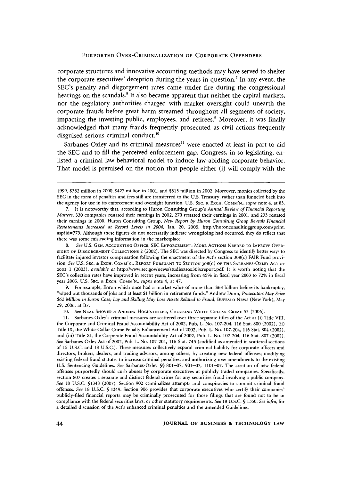corporate structures and innovative accounting methods may have served to shelter the corporate executives' deception during the years in question.<sup>7</sup> In any event, the SEC's penalty and disgorgement rates came under fire during the congressional hearings on the scandals.<sup>8</sup> It also became apparent that neither the capital markets, nor the regulatory authorities charged with market oversight could unearth the corporate frauds before great harm streamed throughout all segments of society, impacting the investing public, employees, and retirees.<sup>9</sup> Moreover, it was finally acknowledged that many frauds frequently prosecuted as civil actions frequently disguised serious criminal conduct.<sup>10</sup>

Sarbanes-Oxley and its criminal measures<sup>11</sup> were enacted at least in part to aid the SEC and to fill the perceived enforcement gap. Congress, in so legislating, enlisted a criminal law behavioral model to induce law-abiding corporate behavior. That model is premised on the notion that people either (i) will comply with the

8. *See* U.S. **GEN.** ACCOUNTING **OFFICE,** SEC **ENFORCEMENT:** MORE ACTIONS **NEEDED** TO IMPROVE OVER-**SIGHT** OF **DISGORGEMENT** COLLECTIONS 2 (2002). The SEC was directed by Congress to identify better ways to facilitate injured investor compensation following the enactment of the Act's section 308(c) FAIR Fund provision. *See* U.S. **SEC. &** EXCH. **COMM'N.,** REPORT **PURSUANT** TO **SECTION 308(C)** OF THE **SARBANES-OXLEY ACT** OF 2002 **1** (2003), *available at* http://www.sec.gov/news/studies/sox308creport.pdf. It is worth noting that the SEC's collection rates have improved in recent years, increasing from 45% in fiscal year **2003** to 72% in fiscal year 2005. U.S. **SEC. &** EXCH. **COMM'N.,** *supra* note 4, at 47.

9. For example, Enron which once had a market value of more than \$68 billion before its bankruptcy, "wiped out thousands of jobs and at least \$1 billion in retirement funds." Andrew Dunn, *Prosecutors May Seize \$62 Million in Enron Case; Lay and Skilling May Lose Assets Related to Fraud,* BUFFALO NEWS (New York), May 29, 2006, at B7.

10. *See* **NEAL** SHOVER **&** ANDREW HOCHSTETLER, CHOOSING WHITE COLLAR CRIME 53 (2006).

11. Sarbanes-Oxley's criminal measures are scattered over three separate titles of the Act at (i) Title VIII, the Corporate and Criminal Fraud Accountability Act of 2002, Pub, L. No. 107-204, **116** Stat. **800** (2002), (ii) Title IX, the White-Collar Crime Penalty Enhancement Act of 2002, Pub. L. No. 107-204, 116 Stat. 804 (2002), and (iii) Title XI, the Corporate Fraud Accountability Act of 2002, Pub. L. No. 107-204, 116 Stat. **807** (2002). See Sarbanes-Oxley Act of 2002, Pub. L. No. 107-204, **116** Stat. 745 (codified as amended in scattered sections of **15** U.S.C. and 18 U.S.C.). These measures collectively expand criminal liability for corporate officers and directors, brokers, dealers, and trading advisors, among others, by creating new federal offenses; modifying existing federal fraud statutes to increase criminal penalties; and authorizing new amendments to the existing U.S. Sentencing Guidelines. See Sarbanes-Oxley §§ 801-07, 901-07, 1101-07. The creation of new federal offenses purportedly should curb abuses by corporate executives at publicly traded companies. Specifically, section 807 creates a separate and distinct federal crime for any securities fraud involving a public company. *See* **18** U.S.C. §1348 (2007). Section 902 criminalizes attempts and conspiracies to commit criminal fraud offenses. *See* 18 U.S.C. § 1349. Section 906 provides that corporate executives who certify their companies' publicly-filed financial reports may be criminally prosecuted for those filings that are found not to be in compliance with the federal securities laws, or other statutory requirements. See **18** U.S.C. § 1350. *See infra,* for a detailed discussion of the Act's enhanced criminal penalties and the amended Guidelines.

<sup>1999, \$382</sup> million in 2000, \$427 million in 2001, and \$515 million in 2002. Moreover, monies collected by the SEC in the form of penalties and fees still are transferred to the U.S. Treasury, rather than funneled back into the agency for use in its enforcement and oversight function. **U.S. SEC. &** EXCH. COMM'N., *supra* note 4, at 83.

<sup>7.</sup> It is noteworthy that, according to Huron Consulting Group's *Annual Review of Financial Reporting Matters,* 330 companies restated their earnings in 2002, 270 restated their earnings in 2001, and 233 restated their earnings in 2000. Huron Consulting Group, *New Report by Huron Consulting Group Reveals Financial Restatements Increased at Record Levels in 2004,* Jan. 20, 2005, http://huronconsultinggroup.com/print. asp?id=779. Although these figures do not necessarily indicate wrongdoing had occurred, they do reflect that there was some misleading information in the marketplace.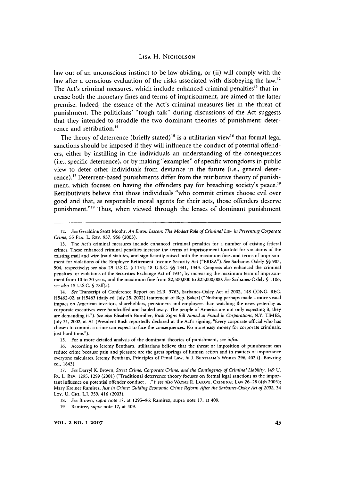law out of an unconscious instinct to be law-abiding, or (ii) will comply with the law after a conscious evaluation of the risks associated with disobeying the law.<sup>12</sup> The Act's criminal measures, which include enhanced criminal penalties<sup>13</sup> that increase both the monetary fines and terms of imprisonment, are aimed at the latter premise. Indeed, the essence of the Act's criminal measures lies in the threat of punishment. The politicians' "tough talk" during discussions of the Act suggests that they intended to straddle the two dominant theories of punishment: deterrence and retribution.<sup>14</sup>

The theory of deterrence (briefly stated)<sup>15</sup> is a utilitarian view<sup>16</sup> that formal legal sanctions should be imposed if they will influence the conduct of potential offenders, either by instilling in the individuals an understanding of the consequences (i.e., specific deterrence), or by making "examples" of specific wrongdoers in public view to deter other individuals from deviance in the future (i.e., general deterrence).<sup>17</sup> Deterrent-based punishments differ from the retributive theory of punishment, which focuses on having the offenders pay for breaching society's peace.<sup>18</sup> Retributivists believe that those individuals "who commit crimes choose evil over good and that, as responsible moral agents for their acts, those offenders deserve punishment."<sup>19</sup> Thus, when viewed through the lenses of dominant punishment

14. *See* Transcript of Conference Report on H.R. 3763, Sarbanes-Oxley Act of 2002, 148 CONG. REC. H5462-02, at H5463 (daily ed. July 25, 2002) (statement of Rep. Baker) ("Nothing perhaps made a more visual impact on American investors, shareholders, pensioners and employees than watching the news yesterday as corporate executives were handcuffed and hauled away. The people of America are not only expecting it, they are demanding it."). *See also* Elisabeth Bumiller, *Bush Signs Bill Aimed at Fraud in Corporations,* N.Y. TIMES, July 31, 2002, at **AI** (President Bush reportedly declared at the Act's signing, "Every corporate official who has chosen to commit a crime can expect to face the consequences. No more easy money for corporate criminals, just hard time.").

19. Ramirez, *supra* note 17, at 409.

<sup>12.</sup> *See* Geraldine Szott Moohr, *An Enron Lesson: The Modest Role of Criminal Law in Preventing Corporate Crime,* **55 FLA. L. REV.** 937, **956 (2003).**

**<sup>13.</sup>** The Act's criminal measures include enhanced criminal penalties for a number of existing federal crimes. These enhanced criminal penalties increase the terms of imprisonment fourfold for violations of the existing mail and wire fraud statutes, and significantly raised both the maximum fines and terms of imprisonment for violations of the Employee Retirement Income Security Act ("ERISA"). *See* Sarbanes-Oxiely §§ 903, 904, respectively; *see also* 29 U.S.C. § 1131; 18 U.S.C. §§ 1341, 1343. Congress also enhanced the criminal penalties for violations of the Securities Exchange Act of 1934, by increasing the maximum term of imprisonment from 10 to 20 years, and the maximum fine from \$2,500,000 to \$25,000,000. *See* Sarbanes-Oxlely § 1106; *see also* 15 U.S.C. § 78ff(a).

<sup>15.</sup> For a more detailed analysis of the dominant theories of punishment, see *infra.*

<sup>16.</sup> According to Jeremy Bentham, utilitarians believe that the threat or imposition of punishment can reduce crime because pain and pleasure are the great springs of human action and in matters of importance everyone calculates. Jeremy Bentham, Principles of Penal Law, *in* **J. BENTHAM'S** WORKs 296, 402 **(J.** Bowring ed., 1843).

<sup>17.</sup> See Darryl K. Brown, *Street Crime, Corporate Crime, and the Contingency of Criminal Liability*, 149 U. PA. L. REV. 1295, 1299 (2001) ("Traditional deterrence theory focuses on formal legal sanctions as the important influence on potential offender conduct..."); *see also* **WAYNE** R. **LAFAVE,** CRIMINAL LAW 26-28 (4th 2003); Mary Kreiner Ramirez, *just in Crime: Guiding Economic Crime Reform After the Sarbanes-Oxley Act of 2002,* <sup>34</sup> Loy. U. CH. L.J. 359, 416 (2003).

<sup>18.</sup> *See* Brown, *supra* note 17, at 1295-96; Ramirez, supra note 17, at 409.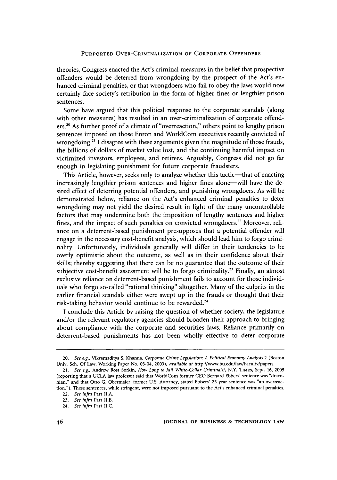theories, Congress enacted the Act's criminal measures in the belief that prospective offenders would be deterred from wrongdoing by the prospect of the Act's enhanced criminal penalties, or that wrongdoers who fail to obey the laws would now certainly face society's retribution in the form of higher fines or lengthier prison sentences.

Some have argued that this political response to the corporate scandals (along with other measures) has resulted in an over-criminalization of corporate offenders.2° As further proof of a climate of "overreaction," others point to lengthy prison sentences imposed on those Enron and WorldCom executives recently convicted of wrongdoing.<sup>21</sup> I disagree with these arguments given the magnitude of those frauds, the billions of dollars of market value lost, and the continuing harmful impact on victimized investors, employees, and retirees. Arguably, Congress did not go far enough in legislating punishment for future corporate fraudsters.

This Article, however, seeks only to analyze whether this tactic-that of enacting increasingly lengthier prison sentences and higher fines alone—will have the desired effect of deterring potential offenders, and punishing wrongdoers. As will be demonstrated below, reliance on the Act's enhanced criminal penalties to deter wrongdoing may not yield the desired result in light of the many uncontrollable factors that may undermine both the imposition of lengthy sentences and higher fines, and the impact of such penalties on convicted wrongdoers.<sup>22</sup> Moreover, reliance on a deterrent-based punishment presupposes that a potential offender will engage in the necessary cost-benefit analysis, which should lead him to forgo criminality. Unfortunately, individuals generally will differ in their tendencies to be overly optimistic about the outcome, as well as in their confidence about their skills; thereby suggesting that there can be no guarantee that the outcome of their subjective cost-benefit assessment will be to forgo criminality.<sup>23</sup> Finally, an almost exclusive reliance on deterrent-based punishment fails to account for those individuals who forgo so-called "rational thinking" altogether. Many of the culprits in the earlier financial scandals either were swept up in the frauds or thought that their risk-taking behavior would continue to be rewarded.<sup>24</sup>

I conclude this Article by raising the question of whether society, the legislature and/or the relevant regulatory agencies should broaden their approach to bringing about compliance with the corporate and securities laws. Reliance primarily on deterrent-based punishments has not been wholly effective to deter corporate

<sup>20.</sup> *See e.g.,* Vikramaditya **S.** Khanna, *Corporate Crime Legislation: A Political Economy Analysis* 2 (Boston Univ. Sch. Of Law, Working Paper No. 03-04, 2003), *available at* http://www.bu.edu/law/Faculty/papers.

<sup>21.</sup> *See e.g.,* Andrew Ross Sorkin, *How Long to Jail White-Collar Criminals?,* N.Y. TiMES, Sept. 16, 2005 (reporting that a UCLA law professor said that WorldCom former CEO Bernard Ebbers' sentence was "draconian," and that Otto G. Obermaier, former U.S. Attorney, stated Ebbers' 25 year sentence was "an overreaction."). These sentences, while stringent, were not imposed pursuant to the Act's enhanced criminal penalties.

<sup>22.</sup> *See infra* Part II.A.

<sup>23.</sup> *See infra* Part II.B.

<sup>24.</sup> *See infra* Part II.C.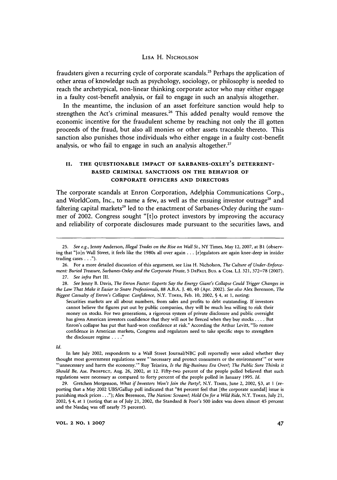fraudsters given a recurring cycle of corporate scandals." Perhaps the application of other areas of knowledge such as psychology, sociology, or philosophy is needed to reach the archetypical, non-linear thinking corporate actor who may either engage in a faulty cost-benefit analysis, or fail to engage in such an analysis altogether.

In the meantime, the inclusion of an asset forfeiture sanction would help to strengthen the Act's criminal measures.<sup>26</sup> This added penalty would remove the economic incentive for the fraudulent scheme **by** reaching not only the **ill** gotten proceeds of the fraud, but also all monies or other assets traceable thereto. This sanction also punishes those individuals who either engage in a faulty cost-benefit analysis, or who fail to engage in such an analysis altogether.<sup>27</sup>

# **II. THE QUESTIONABLE IMPACT OF SARBANES-OXLEY'S DETERRENT-BASED CRIMINAL SANCTIONS ON THE BEHAVIOR OF CORPORATE OFFICERS AND DIRECTORS**

The corporate scandals at Enron Corporation, Adelphia Communications Corp., and WorldCom, Inc., to name a few, as well as the ensuing investor outrage<sup>28</sup> and faltering capital markets<sup>29</sup> led to the enactment of Sarbanes-Oxley during the summer of 2002. Congress sought "[t]o protect investors by improving the accuracy and reliability of corporate disclosures made pursuant to the securities laws, and

Securities markets are all about numbers, from sales and profits to debt outstanding. If investors cannot believe the figures put out by public companies, they will be much less willing to risk their money on stocks. For two generations, a rigorous system of private disclosure and public oversight has given American investors confidence that they will not be fleeced when they buy stocks .... But Enron's collapse has put that hard-won confidence at risk." According the Arthur Levitt, "To restore confidence in American markets, Congress and regulators need to take specific steps to strengthen the disclosure regime **...** 

*Id.*

In late July 2002, respondents to a Wall Street Journal/NBC poll reportedly were asked whether they thought most government regulations were "'necessary and protect consumers or the environment"' or were unnecessary and harm the economy."' Roy Teixeira, *Is the Big-Business Era Over?; The Public Sure Thinks it Should Be,* **AM.** PROSPECT, Aug. 26, 2002, at 12. Fifty-two percent of the people polled believed that such regulations were necessary as compared to forty percent of the people polled in January 1995. *Id.*

29. Gretchen Morgenson, *What if Investors Won't Join the Party?,* N.Y. TIMES, June 2, 2002, **§3,** at 1 (reporting that a May 2002 UBS/Gallup poll indicated that "84 percent feel that [the corporate scandal] issue is punishing stock prices..."); Alex Berenson, *The Nation: Scream!; Hold On for a Wild Ride,* N.Y. TIMES, July 21, 2002, § 4, at 1 (noting that as of July 21, 2002, the Standard & Poor's 500 index was down almost 45 percent and the Nasdaq was off nearly **75** percent).

**VOL. 2 NO. 1 2007**

<sup>25.</sup> *See e.g.,* Jenny Anderson, *Illegal Trades on the Rise on Wall St.,* NY Times, May 12, 2007, at BI (observing that "[o]n Wall Street, it feels like the 1980s all over again ... [riegulators are again knee-deep in insider trading **cases...").**

<sup>26.</sup> For a more detailed discussion of this argument, see Lisa H. Nicholson, *The Culture of Under-Enforcement: Buried Treasure, Sarbanes-Oxley and the Corporate Pirate,* **5 DEPAUL** Bus. **&** COM. L.J. 321, 372-78 (2007). 27. *See infra* Part Ill.

<sup>28.</sup> *See* Jenny B. Davis, *The Enron Factor: Experts Say the Energy Giant's Collapse Could Trigger Changes in the Law That Make it Easier to Snare Professionals,* 88 A.B.A. **J.** 40, 40 (Apr. 2002). *See also* Alex Berenson, *The Biggest Casualty of Enron's Collapse: Confidence,* N.Y. **TIMES,** Feb. 10, 2002, § 4, at 1, noting: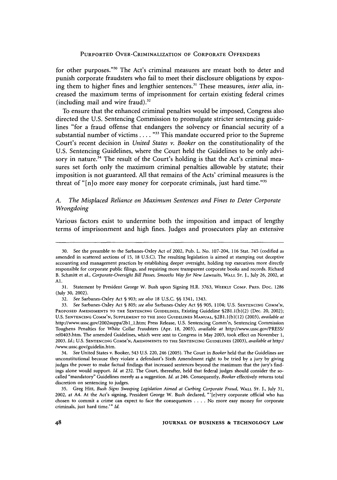for other purposes."<sup>30</sup> The Act's criminal measures are meant both to deter and **punish corporate fraudsters who** fail to meet their disclosure obligations **by** exposing them to higher fines and lengthier sentences." These measures, *inter alia,* increased the maximum terms of imprisonment for certain existing federal crimes (including mail and wire fraud). $32$ 

To ensure that the enhanced criminal penalties would be imposed, Congress also directed the **U.S.** Sentencing Commission to promulgate stricter sentencing guidelines "for a fraud offense that endangers the solvency or financial security of a substantial number of victims. **. . . ""** This mandate occurred prior to the Supreme Court's recent decision in *United States v. Booker* on the constitutionality of the **U.S.** Sentencing Guidelines, where the Court held the Guidelines to be only advisory in nature.<sup>34</sup> The result of the Court's holding is that the Act's criminal measures set forth only the maximum criminal penalties allowable **by** statute; their imposition is not guaranteed. **All** that remains of the Acts' criminal measures is the threat of **"[n]o** more easy money for corporate criminals, just hard time."3

# *A. The Misplaced Reliance on Maximum Sentences and Fines to Deter Corporate Wrongdoing*

Various factors exist to undermine both the imposition and impact of lengthy terms of imprisonment and high fines. Judges and prosecutors play an extensive

<sup>30.</sup> See the preamble to the Sarbanes-Oxley Act of 2002, Pub. L. No. 107-204, 116 Stat. 745 (codified as amended in scattered sections of **15,** 18 **U.S.C).** The resulting legislation is aimed at stamping out deceptive accounting and management practices by establishing deeper oversight, holding top executives more directly responsible for corporate public filings, and requiring more transparent corporate books and records. Richard B. Schmitt et al., *Corporate-Oversight Bill Passes, Smooths Way for New Lawsuits,* WALL **ST. J.,** July 26, 2002, at Al.

<sup>31.</sup> Statement by President George W. Bush upon Signing H.R. 3763, WEEKLY COMP. PRES. Doc. 1286 (July 30, 2002).

<sup>32.</sup> *See* Sarbanes-Oxley Act § **903;** *see also* 18 U.S.C. §§ 1341, 1343.

<sup>33.</sup> *See* Sarbanes-Oxley Act § 805; *see also* Sarbanes-Oxley Act §§ 905, 1104; U.S. SENTENCING COMM'N, PROPOSED AMENDMENTS TO THE SENTENCING GUIDELINES, Existing Guideline §2B1.1(b)(2) (Dec. 20, 2002); **U.S.** SENTENCING **COMM'N,** SUPPLEMENT TO THE 2002 GUIDELINES MANUAL, §2Bl.l(b)(12) (2003), *available at* http://www.ussc.gov/2002suppa/2bl-l.htm; Press Release, U.S. Sentencing Comm'n, Sentencing Commission Toughens Penalties for White Collar Fraudsters (Apr. 18, 2003), *available at* http://www.ussc.gov/PRESS/ rel0403.htm. The amended Guidelines, which were sent to Congress in May **2003,** took effect on November 1, 2003. *Id.;* U.S. SENTENCING COMM'N, AMENDMENTS TO THE SENTENCING GUIDELINES (2003), *available at* http:/ /www.ussc.gov/guidelin.htm.

<sup>34.</sup> *See* United States v. Booker, 543 U.S. 220, 246 (2005). The Court in *Booker* held that the Guidelines are unconstitutional because they violate a defendant's Sixth Amendment right to be tried by a jury by giving judges the power to make factual findings that increased sentences beyond the maximum that the jury's findings alone would support. *Id.* at 232. The Court, thereafter, held that federal judges should consider the socalled "mandatory" Guidelines merely as a suggestion. *Id.* at 246. Consequently, *Booker* effectively returns total discretion on sentencing to judges.

**<sup>35.</sup>** Greg Hitt, *Bush Signs Sweeping Legislation Aimed at Curbing Corporate Fraud,* WALL **ST.** J., July 31, 2002, at A4. At the Act's signing, President George **W.** Bush declared, "'[eivery corporate official who has chosen to commit a crime can expect to face the consequences .**. .** .No more easy money for corporate criminals, just hard time.'" *Id.*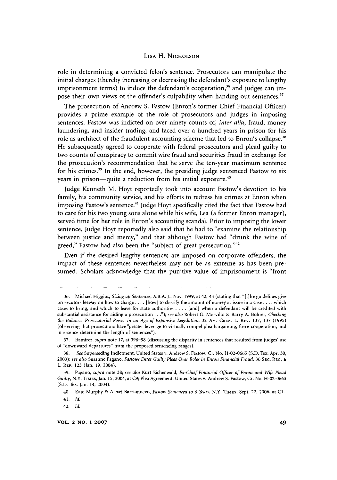role in determining a convicted felon's sentence. Prosecutors can manipulate the initial charges (thereby increasing or decreasing the defendant's exposure to lengthy imprisonment terms) to induce the defendant's cooperation,<sup>36</sup> and judges can impose their own views of the offender's culpability when handing out sentences.<sup>37</sup>

The prosecution of Andrew S. Fastow (Enron's former Chief Financial Officer) provides a prime example of the role of prosecutors and judges in imposing sentences. Fastow was indicted on over ninety counts of, *inter alia,* fraud, money laundering, and insider trading, and faced over a hundred years in prison for his role as architect of the fraudulent accounting scheme that led to Enron's collapse.<sup>38</sup> He subsequently agreed to cooperate with federal prosecutors and plead guilty to two counts of conspiracy to commit wire fraud and securities fraud in exchange for the prosecution's recommendation that he serve the ten-year maximum sentence for his crimes.<sup>39</sup> In the end, however, the presiding judge sentenced Fastow to six years in prison—quite a reduction from his initial exposure.<sup>40</sup>

Judge Kenneth M. Hoyt reportedly took into account Fastow's devotion to his family, his community service, and his efforts to redress his crimes at Enron when imposing Fastow's sentence.<sup>41</sup> Judge Hoyt specifically cited the fact that Fastow had to care for his two young sons alone while his wife, Lea (a former Enron manager), served time for her role in Enron's accounting scandal. Prior to imposing the lower sentence, Judge Hoyt reportedly also said that he had to "examine the relationship between justice and mercy," and that although Fastow had "drunk the wine of greed," Fastow had also been the "subject of great persecution."<sup>42</sup>

Even if the desired lengthy sentences are imposed on corporate offenders, the impact of these sentences nevertheless may not be as extreme as has been presumed. Scholars acknowledge that the punitive value of imprisonment is "front

<sup>36.</sup> Michael Higgins, *Sizing up Sentences,* A.B.A. J., Nov. 1999, at 42, 44 (stating that "[tlhe guidelines give prosecutors leeway on how to charge .... [how] to classify the amount of money at issue in a case .... which cases to bring, and which to leave for state authorities .... [and] when a defendant will be credited with substantial assistance for aiding a prosecution..."); *see also* Robert G. Morvillo & Barry A. Bohrer, *Checking the Balance: Prosecutorial Power in an Age of Expansive Legislation,* 32 AM. CRIM. L. REV. 137, 137 (1995) (observing that prosecutors have "greater leverage to virtually compel plea bargaining, force cooperation, and in essence determine the length of sentences").

**<sup>37.</sup>** Ramirez, *supra* note 17, at 396-98 (discussing the disparity in sentences that resulted from judges' use of"downward departures" from the proposed sentencing ranges).

<sup>38.</sup> *See* Superseding Indictment, United States v. Andrew S. Fastow, Cr. No. H-02-0665 (S.D. Tex. Apr. 30, 2003); *see also* Susanne Pagano, *Fastows Enter Guilty Pleas Over Roles in Enron Financial Fraud,* 36 SEC. **REG. &** L. **REP.** 123 (Jan. **19,** 2004).

**<sup>39.</sup>** Pagano, *supra* note **38;** *see also* Kurt Eichenwald, *Ex-Chief Financial Officer of Enron and Wife Plead Guilty,* N.Y. TIMES, **Jan.** 15, 2004, at **C9;** Plea Agreement, United States v. Andrew **S.** Fastow, Cr. No. **H-02-0665 (S.D.** Tex. Jan. 14, 2004).

<sup>40.</sup> Kate Murphy & Alexei Barrionuevo, *Fastow Sentenced to 6 Years,* N.Y. TIMES, Sept. **27, 2006,** at **C1. 41.** *Id.*

<sup>42.</sup> *Id.*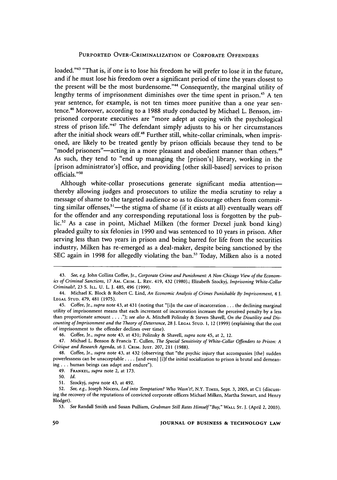loaded."43 "That is, if one is to lose his freedom he will prefer to lose it in the future, and if he must lose his freedom over a significant period of time the years closest to the present will be the most burdensome."<sup>44</sup> Consequently, the marginal utility of lengthy terms of imprisonment diminishes over the time spent in prison.<sup>45</sup> A ten year sentence, for example, is not ten times more punitive than a one year sentence.46 Moreover, according to a 1988 study conducted by Michael L. Benson, imprisoned corporate executives are "more adept at coping with the psychological stress of prison life."47 The defendant simply adjusts to his or her circumstances after the initial shock wears off.<sup>48</sup> Further still, white-collar criminals, when imprisoned, are likely to be treated gently by prison officials because they tend to be "model prisoners"—acting in a more pleasant and obedient manner than others.<sup>49</sup> As such, they tend to "end up managing the [prison's] library, working in the [prison administrator's] office, and providing [other skill-based] services to prison officials."<sup>50</sup>

Although white-collar prosecutions generate significant media attentionthereby allowing judges and prosecutors to utilize the media scrutiny to relay a message of shame to the targeted audience so as to discourage others from committing similar offenses,<sup>51</sup>—the stigma of shame (if it exists at all) eventually wears off for the offender and any corresponding reputational loss is forgotten by the public.<sup>52</sup> As a case in point, Michael Milken (the former Drexel junk bond king) pleaded guilty to six felonies in 1990 and was sentenced to 10 years in prison. After serving less than two years in prison and being barred for life from the securities industry, Milken has re-emerged as a deal-maker, despite being sanctioned by the SEC again in 1998 for allegedly violating the ban.<sup>53</sup> Today, Milken also is a noted

**<sup>43.</sup>** *See, e.g.* John Collins Coffee, Jr., *Corporate Crime and Punishment: A Non-Chicago View of the Economics of Criminal Sanctions,* 17 AM. CRIM. L. REV. 419, 432 (1980).; Elizabeth Szockyj, *Imprisoning White-Collar Criminals?,* 23 **S.** ILL. U. L. J. 485, 496 (1999).

<sup>44.</sup> Michael K. Block & Robert C. Lind, *An Economic Analysis of Crimes Punishable By Imprisonment, 4* J. **LEGAL STUD.** 479, 481 (1975).

<sup>45.</sup> Coffee, Jr., *supra* note 43, at 431 (noting that "[iun the case of incarceration **...** the declining marginal utility of imprisonment means that each increment of incarceration increases the perceived penalty **by** a less than proportionate amount . **. .** *."); see also* A. Mitchell Polinsky & Steven Shavell, *On the Disutility and Discounting of Imprisonment and the Theory ofDeterrence,* 28 J. **LEGAL STUD. 1,** 12 (1999) (explaining that the cost of imprisonment to the offender declines over time).

<sup>46.</sup> Coffee, Jr., *supra* note 43, at 431; Polinsky & Shavell, *supra* note 45, at 2, 12.

<sup>47.</sup> Michael L. Benson & Francis T. Cullen, *The Special Sensitivity of White-Collar Offenders to Prison: A Critique and Research Agenda, 16* **J. CRIM. JUST. 207,** 211 (1988).

<sup>48.</sup> Coffee, Jr., *supra* note 43, at 432 (observing that "the psychic injury that accompanies [the] sudden powerlessness can be unacceptable .... [and even] [i]f the initial socialization to prison is brutal and demeaning **...** human beings can adapt and endure").

<sup>49.</sup> FRANKEL, *supra* note 2, at 173.

**<sup>50.</sup>** *id.*

<sup>51.</sup> Szockyj, *supra* note 43, at 492.

<sup>52.</sup> *See, e.g.,* Joseph Nocera, *Led into Temptation? Who Wasn't?,* N.Y. TiMES, Sept. 3, 2005, at **CI** (discussing the recovery of the reputations of convicted corporate officers Michael Milken, Martha Stewart, and Henry Blodget).

<sup>53.</sup> *See* Randall Smith and Susan Pulliam, *Grubman Still Rates Himself "Buy,"* WALL ST. **J.** (April 2, 2003).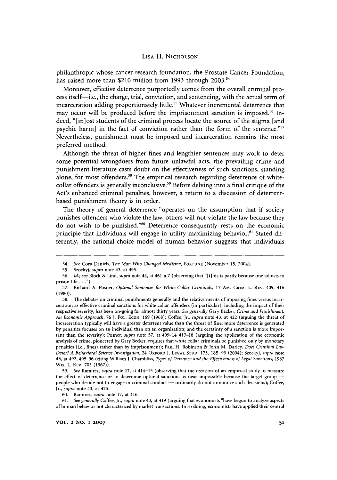philanthropic whose cancer research foundation, the Prostate Cancer Foundation, has raised more than \$210 million from **1993** through **2003.#**

Moreover, effective deterrence purportedly comes from the overall criminal process itself-i.e., the charge, trial, conviction, and sentencing, with the actual term of incarceration adding proportionately little.<sup>55</sup> Whatever incremental deterrence that may occur will be produced before the imprisonment sanction is imposed.<sup>56</sup> Indeed, "[m]ost students of the criminal process locate the source of the stigma [and psychic harm] in the fact of conviction rather than the form of the sentence."57 Nevertheless, punishment must be imposed and incarceration remains the most preferred method.

Although the threat of higher fines and lengthier sentences may work to deter some potential wrongdoers from future unlawful acts, the prevailing crime and punishment literature casts doubt on the effectiveness of such sanctions, standing alone, for most offenders.<sup>58</sup> The empirical research regarding deterrence of whitecollar offenders is generally inconclusive.<sup>59</sup> Before delving into a final critique of the Act's enhanced criminal penalties, however, a return to a discussion of deterrentbased punishment theory is in order.

The theory of general deterrence "operates on the assumption that if society punishes offenders who violate the law, others will not violate the law because they do not wish to be punished."<sup>60</sup> Deterrence consequently rests on the economic principle that individuals will engage in utility-maximizing behavior.<sup>61</sup> Stated differently, the rational-choice model of human behavior suggests that individuals

60. Ramirez, *supra* note 17, at 416.

61. *See generally* Coffee, Jr., *supra* note 43, at 419 (arguing that economists "have begun to analyze aspects of human behavior not characterized by market transactions. In so doing, economists have applied their central

<sup>54.</sup> *See* Cora Daniels, *The Man Who Changed Medicine,* FORTUNE (November **15,** 2004).

<sup>55.</sup> Szockyj, *supra* note 43, at 495.

<sup>56.</sup> *Id.; see* Block & Lind, *supra* note 44, at 461 n.7 (observing that "[tihis is partly because one adjusts to prison **life...").**

<sup>57.</sup> Richard A. Posner, *Optimal Sentences for White-Collar Criminals,* **17** AM. CRIM. L. REV. 409, 416 (1980).

<sup>58.</sup> The debates on criminal punishments generally and the relative merits of imposing fines versus incarceration as effective criminal sanctions for white collar offenders (in particular), including the impact of their respective severity, has been on-going for almost thirty years. *See generally* Gary Becker, *Crime and Punishment: An Economic Approach, 76* J. POL. ECON. 169 (1968); Coffee, Jr., *supra* note 43, at 422 (arguing the threat of incarceration typically will have a greater deterrent value than the threat of fine; more deterrence is generated by penalties focuses on an individual than on an organization; and the certainty of a sanction is more important than the severity); Posner, *supra* note **57,** at 409-14 417-18 (arguing the application of the economic analysis of crime, pioneered by Gary Becker, requires that white collar criminals be punished only by monetary penalties (i.e., fines) rather than by imprisonment); Paul H. Robinson & John M. Darley, *Does Criminal Law Deter? A Behavioral Science Investigation,* 24 OXFORD J. **LEGAL STUD.** 173, 185-93 (2004); Szockyj, *supra* note 43, at 492, 495-96 (citing William J. Chambliss, *Types of Deviance and the Effectiveness of Legal Sanctions*, 1967 Wis. L. REV. 703 (1967)).

<sup>59.</sup> *See* Ramirez, *supra* note 17, at 414-15 (observing that the creation of an empirical study to measure the effect of deterrence or to determine optimal sanctions is near impossible because the target group people who decide not to engage in criminal conduct - ordinarily do not announce such decisions); Coffee, Jr., *supra* note 43, at 425.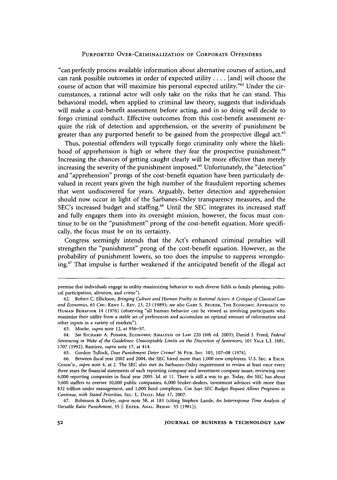"can perfectly process available information about alternative courses of action, and can rank possible outcomes in order of expected utility .... [and] will choose the course of action that will maximize his personal expected utility."<sup>62</sup> Under the circumstances, a rational actor will only take on the risks that he can stand. This behavioral model, when applied to criminal law theory, suggests that individuals will make a cost-benefit assessment before acting, and in so doing will decide to forgo criminal conduct. Effective outcomes from this cost-benefit assessment require the risk of detection and apprehension, or the severity of punishment be greater than any purported benefit to be gained from the prospective illegal act.<sup>63</sup>

Thus, potential offenders will typically forgo criminality only where the likelihood of apprehension is high or where they fear the prospective punishment.<sup>64</sup> Increasing the chances of getting caught clearly will be more effective than merely increasing the severity of the punishment imposed.<sup>65</sup> Unfortunately, the "detection" and "apprehension" prongs of the cost-benefit equation have been particularly devalued in recent years given the high number of the fraudulent reporting schemes that went undiscovered for years. Arguably, better detection and apprehension should now occur in light of the Sarbanes-Oxley transparency measures, and the SEC's increased budget and staffing.<sup>66</sup> Until the SEC integrates its increased staff and fully engages them into its oversight mission, however, the focus must continue to be on the "punishment" prong of the cost-benefit equation. More specifically, the focus must be on its certainty.

Congress seemingly intends that the Act's enhanced criminal penalties will strengthen the "punishment" prong of the cost-benefit equation. However, as the probability of punishment lowers, so too does the impulse to suppress wrongdoing.67 That impulse is further weakened if the anticipated benefit of the illegal act

premise that individuals engage in utility- maximizing behavior to such diverse fields as family planning, political participation, altruism, and crime").

<sup>62.</sup> Robert C. Ellickson, *Bringing Culture and Human Frailty to Rational Actors: A Critique of Classical Law and Economics,* 65 CHI.-KENT L. REV. 23, 23 (1989); *see also* **GARY S. BECKER, THE** ECONOMIC APPROACH TO **HUMAN** BEHAVIOR 14 (1976) (observing "all human behavior can **be** viewed as involving participants who maximize their utility from a stable set of preferences and accumulate an optimal amount of information and other inputs in a variety of markets").

**<sup>63.</sup>** Moohr, *supra* note 12, at 956-57.

<sup>64.</sup> *See* RICHARD **A.** POSNER, ECONOMIC ANALYSIS OF **LAW** 220 (6th ed. 2003); Daniel **J.** Freed, *Federal Sentencing in Wake of the Guidelines: Unacceptable Limits on the Discretion of Sentencers,* **101** YALE L.J. 1681, 1707 (1992); Ramirez, *supra* note 17, at 414.

**<sup>65.</sup>** Gordon Tullock, *Does Punishment Deter Crime?* **36 PUB.** INT. 103, 107-08 (1974).

<sup>66.</sup> Between fiscal year 2002 and 2004, the **SEC** hired more than 1,000 new employees. U.S. **SEC. &** EXCH. **COMM'N.,** *supra* note 4, at 2. The **SEC** also met its Sarbanes-Oxley requirement to review at least once every three years the financial statements of each reporting company and investment company issuer, reviewing over 6,000 reporting companies in fiscal year 2005. *Id.* at 11. There is still a way to go. Today, the **SEC** has about 3,600 staffers to oversee 10,000 public companies, 6,000 broker-dealers, investment advisors with more than **\$32** trillion under management, and 1,000 fund complexes. *Cox Says SEC Budget Request Allows Programs to Continue, with Stated Priorities,* SEC. L. DAILY, May **17, 2007.**

**<sup>67.</sup>** Robinson **&** Darley, *supra* note 58, at 183 (citing Stephen Lande, *An Interresponse Time Analysis of Variable Ratio Punishment,* 35 **J.** EXPER. **ANAL.** BEHAv. 55 (1981)).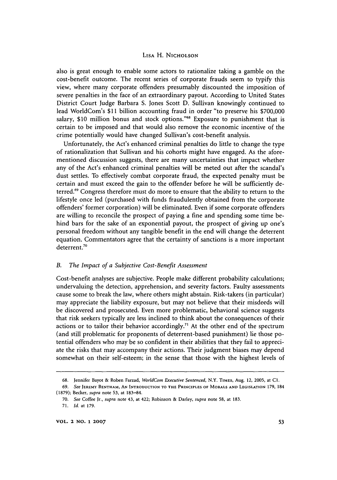also is great enough to enable some actors to rationalize taking a gamble on the cost-benefit outcome. The recent series of corporate frauds seem to typify this view, where many corporate offenders presumably discounted the imposition of severe penalties in the face of an extraordinary payout. According to United States District Court Judge Barbara S. Jones Scott D. Sullivan knowingly continued to lead WorldCom's \$11 billion accounting fraud in order "to preserve his \$700,000 salary, \$10 million bonus and stock options."<sup>68</sup> Exposure to punishment that is certain to be imposed and that would also remove the economic incentive of the crime potentially would have changed Sullivan's cost-benefit analysis.

Unfortunately, the Act's enhanced criminal penalties do little to change the type of rationalization that Sullivan and his cohorts might have engaged. As the aforementioned discussion suggests, there are many uncertainties that impact whether any of the Act's enhanced criminal penalties will be meted out after the scandal's dust settles. To effectively combat corporate fraud, the expected penalty must be certain and must exceed the gain to the offender before he will be sufficiently deterred.<sup>69</sup> Congress therefore must do more to ensure that the ability to return to the lifestyle once led (purchased with funds fraudulently obtained from the corporate offenders' former corporation) will be eliminated. Even if some corporate offenders are willing to reconcile the prospect of paying a fine and spending some time behind bars for the sake of an exponential payout, the prospect of giving up one's personal freedom without any tangible benefit in the end will change the deterrent equation. Commentators agree that the certainty of sanctions is a more important deterrent.7"

#### *B. The Impact of a Subjective Cost-Benefit Assessment*

Cost-benefit analyses are subjective. People make different probability calculations; undervaluing the detection, apprehension, and severity factors. Faulty assessments cause some to break the law, where others might abstain. Risk-takers (in particular) may appreciate the liability exposure, but may not believe that their misdeeds will be discovered and prosecuted. Even more problematic, behavioral science suggests that risk seekers typically are less inclined to think about the consequences of their actions or to tailor their behavior accordingly.<sup>71</sup> At the other end of the spectrum (and still problematic for proponents of deterrent-based punishment) lie those potential offenders who may be so confident in their abilities that they fail to appreciate the risks that may accompany their actions. Their judgment biases may depend somewhat on their self-esteem; in the sense that those with the highest levels of

<sup>68.</sup> Jennifer Bayot & Roben Farzad, *WorldCorn Executive Sentenced,* N.Y. TIMES, Aug. 12, 2005, at CI.

**<sup>69.</sup>** *See* JEREMY **BENTHAM, AN INTRODUCTION** TO **THE** PRINCIPLES OF MORALS **AND LEGISLATION** 179, 184 (1879); Becker, *supra* note **53,** at 183-84.

**<sup>70.</sup>** *See* Coffee Jr., *supra* note 43, at 422; Robinson & Darley, *supra* note **58,** at **183.**

**<sup>71.</sup>** *Id.* at 179.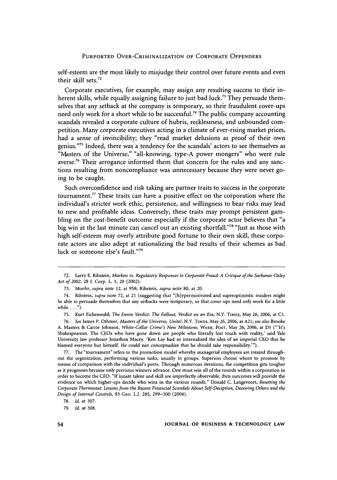self-esteem are the most likely to misjudge their control over future events and even their skill sets.72

Corporate executives, for example, may assign any resulting success to their inherent skills, while equally assigning failure to just bad luck.<sup>73</sup> They persuade themselves that any setback at the company is temporary, so their fraudulent cover-ups need only work for a short while to be successful.<sup>74</sup> The public company accounting scandals revealed a corporate culture **of** hubris, recklessness, and unbounded competition. Many corporate executives acting in a climate of ever-rising market prices, had a sense of invincibility; they "read market delusions as proof of their own genius."<sup>75</sup> Indeed, there was a tendency for the scandals' actors to see themselves as "Masters of the Universe," "all-knowing, type-A power mongers" who were rule averse.<sup>76</sup> Their arrogance informed them that concern for the rules and any sanctions resulting from noncompliance was unnecessary because they were never going to be caught.

Such overconfidence and risk taking are partner traits to success in the corporate tournament.77 These traits can have a positive effect on the corporation where the individual's stricter work ethic, persistence, and willingness to bear risks may lead to new and profitable ideas. Conversely, these traits may prompt persistent gambling on the cost-benefit outcome especially if the corporate actor believes that "a big win at the last minute can cancel out an existing shortfall."<sup>78</sup> "Just as those with high self-esteem may overly attribute good fortune to their own skill, these corporate actors are also adept at rationalizing the bad results of their schemes as bad luck or someone else's fault."79

75. Kurt Eichenwald, *The Enron Verdict: The Fallout; Verdict on an Era,* N.Y. TIMES, May 26, 2006, at **Cl.**

77. The "tournament" refers to the promotion model whereby managerial employees are rotated throughout the organization, performing various tasks, usually in groups. Superiors choose whom to promote by means of comparison with the individual's peers. Through numerous iterations, the competition gets tougher as it progresses because only previous winners advance. One must win all of the rounds within a corporation in order to become the CEO. "If innate talent and skill are imperfectly observable, then outcomes will provide the evidence on which higher-ups decide who wins in the various rounds." Donald C. Langevoort, *Resetting the Corporate Thermostat: Lessons from the Recent Financial Scandals About Self-Deception, Deceiving Others and the Design of Internal Controls,* 93 GEO. L.J. 285, 299-300 (2004).

**<sup>72.</sup>** Larry **E.** Ribstein, *Markets vs. Regulatory Responses to Corporate Fraud: A Critique of the Sarbanes-Oxley Act of 2002,* 28 **1.** Corp. L. 1, 20 (2002).

<sup>73.</sup> Moohr, *supra* note 12, at 958; Ribstein, *supra* note 80, at 20.

<sup>74.</sup> Ribstein, *supra* note 72, at 21 (suggesting that "[hlypermotivated and superoptimistic insiders might be able to persuade themselves that any setbacks were temporary, so that cover-ups need only work for a little while **. . .").**

<sup>76.</sup> *See* James P. Othmer, *Masters of the Universe, Unite!,* N.Y. TIMES, May 26, 2006, at A21; *see also* Brooke A. Masters & Carrie Johnson, *White-Collar Crime's New Milestone,* WASH. POST, May 26, 2006, at **DI** ("'It's Shakespearean. The CEOs who have gone down are people who literally lost touch with reality,' said Yale University law professor Jonathon Macey. 'Ken Lay had so internalized the idea of an imperial CEO that he blamed everyone but himself. He could not conceptualize that he should take responsibility.'").

<sup>78.</sup> *Id.* at 307.

**<sup>79.</sup>** *Id.* at 308.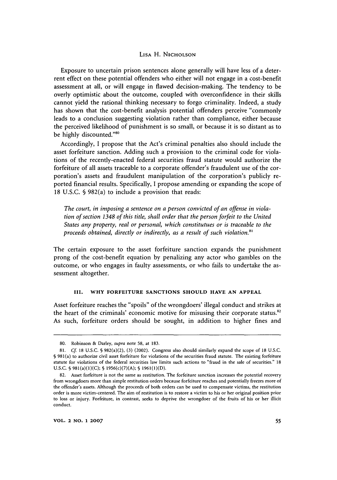Exposure to uncertain prison sentences alone generally will have less of a deterrent effect on these potential offenders who either will not engage in a cost-benefit assessment at all, or will engage in flawed decision-making. The tendency to be overly optimistic about the outcome, coupled with overconfidence in their skills cannot yield the rational thinking necessary to forgo criminality. Indeed, a study has shown that the cost-benefit analysis potential offenders perceive "commonly leads to a conclusion suggesting violation rather than compliance, either because the perceived likelihood of punishment is so small, or because it is so distant as to be highly discounted."<sup>80</sup>

Accordingly, I propose that the Act's criminal penalties also should include the asset forfeiture sanction. Adding such a provision to the criminal code for violations of the recently-enacted federal securities fraud statute would authorize the forfeiture of all assets traceable to a corporate offender's fraudulent use of the corporation's assets and fraudulent manipulation of the corporation's publicly reported financial results. Specifically, I propose amending or expanding the scope of 18 U.S.C. § 982(a) to include a provision that reads:

*The court, in imposing a sentence on a person convicted of an offense in violation of section 1348 of this title, shall order that the person forfeit to the United States any property, real or personal, which constitutues or is traceable to the proceeds obtained, directly or indirectly, as a result of such violation."'*

The certain exposure to the asset forfeiture sanction expands the punishment prong of the cost-benefit equation by penalizing any actor who gambles on the outcome, or who engages in faulty assessments, or who fails to undertake the assessment altogether.

#### **III.** WHY **FORFEITURE SANCTIONS SHOULD HAVE AN APPEAL**

Asset forfeiture reaches the "spoils" of the wrongdoers' illegal conduct and strikes at the heart of the criminals' economic motive for misusing their corporate status. $82$ As such, forfeiture orders should be sought, in addition to higher fines and

<sup>80.</sup> Robinson & Darley, *supra* note 58, at 183.

<sup>81.</sup> **Cf.** 18 U.S.C. **§** 982(a)(2), (3) (2002). Congress also should similarly expand the scope of 18 U.S.C. § 981(a) to authorize civil asset forfeiture for violations of the securities fraud statute. The existing forfeiture statute for violations of the federal securities law limits such actions to "fraud in the sale of securities." 18 U.S.C.  $\frac{6}{981(a)(1)(C)}$ ;  $\frac{6}{981(c)(7)(A)}$ ;  $\frac{6}{981(1)(D)}$ .

<sup>82.</sup> Asset forfeiture is not the same as restitution. The forfeiture sanction increases the potential recovery from wrongdoers more than simple restitution orders because forfeiture reaches and potentially freezes more of the offender's assets. Although the proceeds of both orders can be used to compensate victims, the restitution order is more victim-centered. The aim of restitution is to restore a victim to his or her original position prior to loss or injury. Forfeiture, in contrast, seeks to deprive the wrongdoer of the fruits of his or her illicit conduct.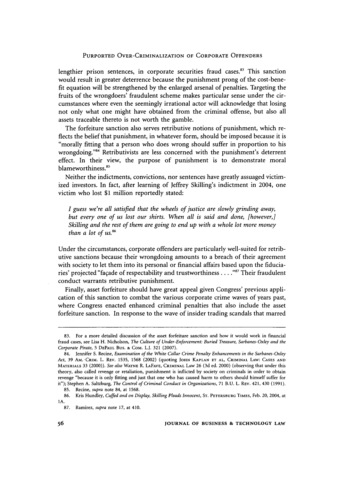lengthier prison sentences, in corporate securities fraud cases.<sup>83</sup> This sanction would result in greater deterrence because the punishment prong of the cost-benefit equation will be strengthened by the enlarged arsenal of penalties. Targeting the fruits of the wrongdoers' fraudulent scheme makes particular sense under the circumstances where even the seemingly irrational actor will acknowledge that losing not only what one might have obtained from the criminal offense, but also all assets traceable thereto is not worth the gamble.

The forfeiture sanction also serves retributive notions of punishment, which reflects the belief that punishment, in whatever form, should be imposed because it is "morally fitting that a person who does wrong should suffer in proportion to his wrongdoing."<sup>84</sup> Retributivists are less concerned with the punishment's deterrent effect. In their view, the purpose of punishment is to demonstrate moral blameworthiness.<sup>85</sup>

Neither the indictments, convictions, nor sentences have greatly assuaged victimized investors. In fact, after learning of Jeffrey Skilling's indictment in 2004, one victim who lost **\$1** million reportedly stated:

*I guess we're all satisfied that the wheels of justice are slowly grinding away, but every one of us lost our shirts. When all is said and done, [however,] Skilling and the rest of them are going to end up with a whole lot more money than a lot of us. <sup>6</sup>*

Under the circumstances, corporate offenders are particularly well-suited for retributive sanctions because their wrongdoing amounts to a breach of their agreement with society to let them into its personal or financial affairs based upon the fiduciaries' projected "façade of respectability and trustworthiness . . . .<sup>887</sup> Their fraudulent conduct warrants retributive punishment.

Finally, asset forfeiture should have great appeal given Congress' previous application of this sanction to combat the various corporate crime waves of years past, where Congress enacted enhanced criminal penalties that also include the asset forfeiture sanction. In response to the wave of insider trading scandals that marred

<sup>83.</sup> For a more detailed discussion of the asset forfeiture sanction and how it would work in financial fraud cases, see Lisa H. Nicholson, *The Culture of Under-Enforcement: Buried Treasure, Sarbanes-Oxley and the Corporate Pirate,* 5 **DEPAUL** Bus. **&** COM. L.J. **321** (2007).

<sup>84.</sup> Jennifer S. Recine, *Examination of the White Collar Crime Penalty Enhancements in the Sarbanes-Oxley Act,* 39 AM. **CRIM.** L. REV. 1535, 1568 (2002) (quoting **JOHN KAPLAN ET AL,** CRIMINAL LAW: **CASES AND** MATERIALS 33 (2000)). *See also* WAYNE R. **LAFAVE,** CRIMINAL LAW 26 (3d ed. 2000) (observing that under this theory, also called revenge or retaliation, punishment is inflicted by society on criminals in order to obtain revenge "because it is only fitting and just that one who has caused harm to others should himself suffer for it"); Stephen A. Saltzburg, *The Control of Criminal Conduct in Organizations,* **71** B.U. L. REV. 421, 430 (1991).

<sup>85.</sup> Recine, *supra* note 84, at 1568.

<sup>86.</sup> Kris Hundley, *Cuffed and on Display, Skilling Pleads Innocent,* **ST.** PETERSBURG TIMES, Feb. 20, 2004, at **IA.**

**<sup>87.</sup>** Ramirez, *supra* note **17,** at 410.